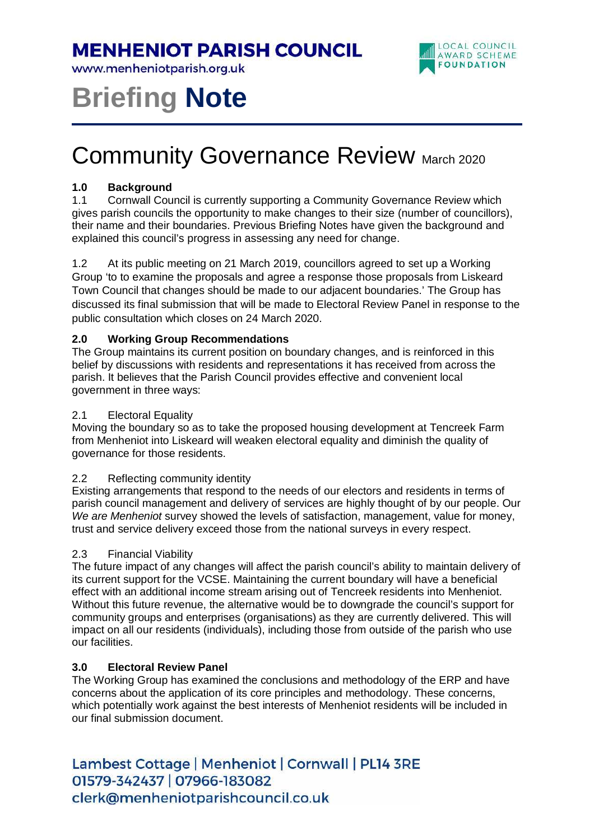### **MENHENIOT PARISH COUNCIL**

www.menheniotparish.org.uk



# **Briefing Note**

## **Community Governance Review March 2020**

#### **1.0 Background**

1.1 Cornwall Council is currently supporting a Community Governance Review which gives parish councils the opportunity to make changes to their size (number of councillors), their name and their boundaries. Previous Briefing Notes have given the background and explained this council's progress in assessing any need for change.

1.2 At its public meeting on 21 March 2019, councillors agreed to set up a Working Group 'to to examine the proposals and agree a response those proposals from Liskeard Town Council that changes should be made to our adjacent boundaries.' The Group has discussed its final submission that will be made to Electoral Review Panel in response to the public consultation which closes on 24 March 2020.

#### **2.0 Working Group Recommendations**

The Group maintains its current position on boundary changes, and is reinforced in this belief by discussions with residents and representations it has received from across the parish. It believes that the Parish Council provides effective and convenient local government in three ways:

#### 2.1 Electoral Equality

Moving the boundary so as to take the proposed housing development at Tencreek Farm from Menheniot into Liskeard will weaken electoral equality and diminish the quality of governance for those residents.

#### 2.2 Reflecting community identity

Existing arrangements that respond to the needs of our electors and residents in terms of parish council management and delivery of services are highly thought of by our people. Our We are Menheniot survey showed the levels of satisfaction, management, value for money, trust and service delivery exceed those from the national surveys in every respect.

#### 2.3 Financial Viability

The future impact of any changes will affect the parish council's ability to maintain delivery of its current support for the VCSE. Maintaining the current boundary will have a beneficial effect with an additional income stream arising out of Tencreek residents into Menheniot. Without this future revenue, the alternative would be to downgrade the council's support for community groups and enterprises (organisations) as they are currently delivered. This will impact on all our residents (individuals), including those from outside of the parish who use our facilities.

#### **3.0 Electoral Review Panel**

The Working Group has examined the conclusions and methodology of the ERP and have concerns about the application of its core principles and methodology. These concerns, which potentially work against the best interests of Menheniot residents will be included in our final submission document.

Lambest Cottage | Menheniot | Cornwall | PL14 3RE 01579-342437 | 07966-183082 clerk@menheniotparishcouncil.co.uk